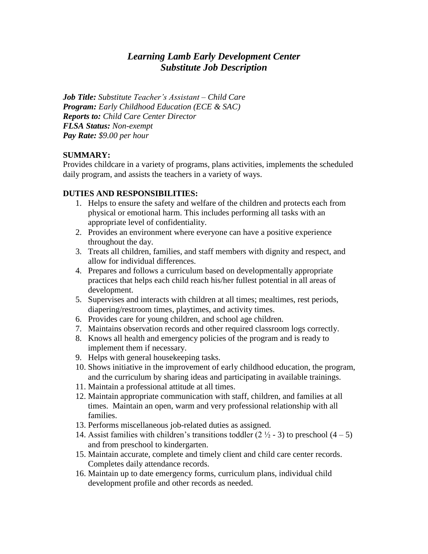# *Learning Lamb Early Development Center Substitute Job Description*

*Job Title: Substitute Teacher's Assistant – Child Care Program: Early Childhood Education (ECE & SAC) Reports to: Child Care Center Director FLSA Status: Non-exempt Pay Rate: \$9.00 per hour*

#### **SUMMARY:**

Provides childcare in a variety of programs, plans activities, implements the scheduled daily program, and assists the teachers in a variety of ways.

#### **DUTIES AND RESPONSIBILITIES:**

- 1. Helps to ensure the safety and welfare of the children and protects each from physical or emotional harm. This includes performing all tasks with an appropriate level of confidentiality.
- 2. Provides an environment where everyone can have a positive experience throughout the day.
- 3. Treats all children, families, and staff members with dignity and respect, and allow for individual differences.
- 4. Prepares and follows a curriculum based on developmentally appropriate practices that helps each child reach his/her fullest potential in all areas of development.
- 5. Supervises and interacts with children at all times; mealtimes, rest periods, diapering/restroom times, playtimes, and activity times.
- 6. Provides care for young children, and school age children.
- 7. Maintains observation records and other required classroom logs correctly.
- 8. Knows all health and emergency policies of the program and is ready to implement them if necessary.
- 9. Helps with general housekeeping tasks.
- 10. Shows initiative in the improvement of early childhood education, the program, and the curriculum by sharing ideas and participating in available trainings.
- 11. Maintain a professional attitude at all times.
- 12. Maintain appropriate communication with staff, children, and families at all times. Maintain an open, warm and very professional relationship with all families.
- 13. Performs miscellaneous job-related duties as assigned.
- 14. Assist families with children's transitions toddler  $(2 \frac{1}{2} 3)$  to preschool  $(4 5)$ and from preschool to kindergarten.
- 15. Maintain accurate, complete and timely client and child care center records. Completes daily attendance records.
- 16. Maintain up to date emergency forms, curriculum plans, individual child development profile and other records as needed.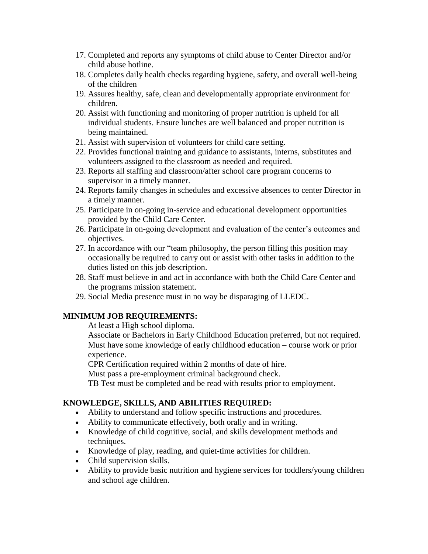- 17. Completed and reports any symptoms of child abuse to Center Director and/or child abuse hotline.
- 18. Completes daily health checks regarding hygiene, safety, and overall well-being of the children
- 19. Assures healthy, safe, clean and developmentally appropriate environment for children.
- 20. Assist with functioning and monitoring of proper nutrition is upheld for all individual students. Ensure lunches are well balanced and proper nutrition is being maintained.
- 21. Assist with supervision of volunteers for child care setting.
- 22. Provides functional training and guidance to assistants, interns, substitutes and volunteers assigned to the classroom as needed and required.
- 23. Reports all staffing and classroom/after school care program concerns to supervisor in a timely manner.
- 24. Reports family changes in schedules and excessive absences to center Director in a timely manner.
- 25. Participate in on-going in-service and educational development opportunities provided by the Child Care Center.
- 26. Participate in on-going development and evaluation of the center's outcomes and objectives.
- 27. In accordance with our "team philosophy, the person filling this position may occasionally be required to carry out or assist with other tasks in addition to the duties listed on this job description.
- 28. Staff must believe in and act in accordance with both the Child Care Center and the programs mission statement.
- 29. Social Media presence must in no way be disparaging of LLEDC.

### **MINIMUM JOB REQUIREMENTS:**

At least a High school diploma.

Associate or Bachelors in Early Childhood Education preferred, but not required. Must have some knowledge of early childhood education – course work or prior experience.

CPR Certification required within 2 months of date of hire.

Must pass a pre-employment criminal background check.

TB Test must be completed and be read with results prior to employment.

### **KNOWLEDGE, SKILLS, AND ABILITIES REQUIRED:**

- Ability to understand and follow specific instructions and procedures.
- Ability to communicate effectively, both orally and in writing.
- Knowledge of child cognitive, social, and skills development methods and techniques.
- Knowledge of play, reading, and quiet-time activities for children.
- Child supervision skills.
- Ability to provide basic nutrition and hygiene services for toddlers/young children and school age children.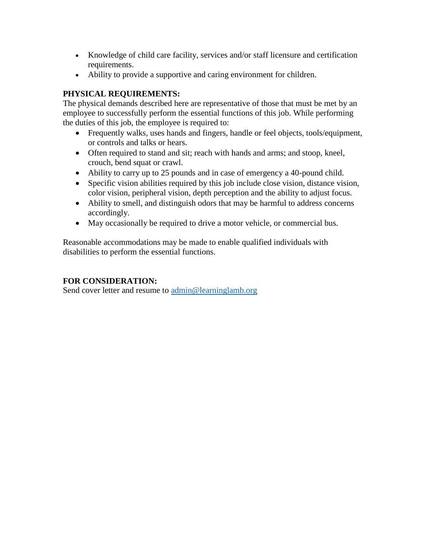- Knowledge of child care facility, services and/or staff licensure and certification requirements.
- Ability to provide a supportive and caring environment for children.

# **PHYSICAL REQUIREMENTS:**

The physical demands described here are representative of those that must be met by an employee to successfully perform the essential functions of this job. While performing the duties of this job, the employee is required to:

- Frequently walks, uses hands and fingers, handle or feel objects, tools/equipment, or controls and talks or hears.
- Often required to stand and sit; reach with hands and arms; and stoop, kneel, crouch, bend squat or crawl.
- Ability to carry up to 25 pounds and in case of emergency a 40-pound child.
- Specific vision abilities required by this job include close vision, distance vision, color vision, peripheral vision, depth perception and the ability to adjust focus.
- Ability to smell, and distinguish odors that may be harmful to address concerns accordingly.
- May occasionally be required to drive a motor vehicle, or commercial bus.

Reasonable accommodations may be made to enable qualified individuals with disabilities to perform the essential functions.

## **FOR CONSIDERATION:**

Send cover letter and resume to [admin@learninglamb.org](mailto:admin@learninglamb.org)